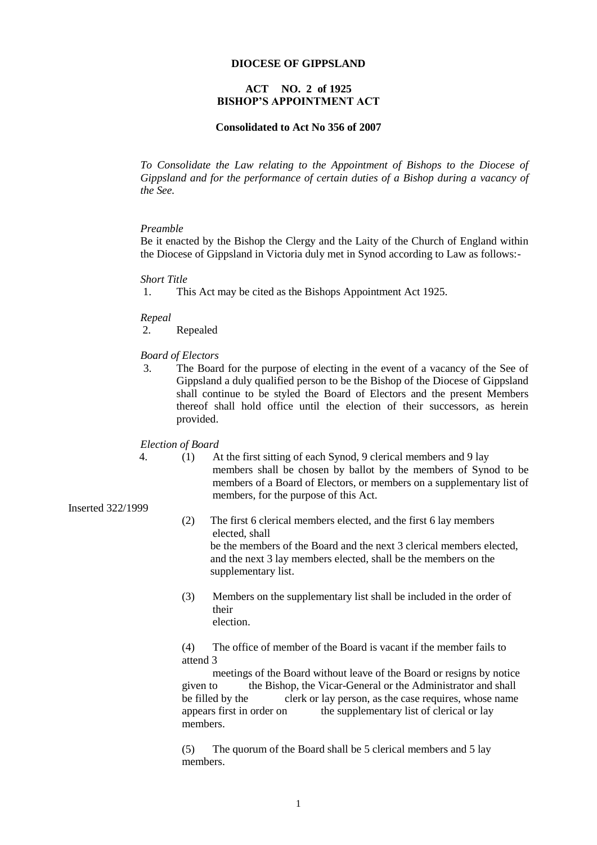#### **DIOCESE OF GIPPSLAND**

# **ACT NO. 2 of 1925 BISHOP'S APPOINTMENT ACT**

#### **Consolidated to Act No 356 of 2007**

*To Consolidate the Law relating to the Appointment of Bishops to the Diocese of Gippsland and for the performance of certain duties of a Bishop during a vacancy of the See.*

#### *Preamble*

Be it enacted by the Bishop the Clergy and the Laity of the Church of England within the Diocese of Gippsland in Victoria duly met in Synod according to Law as follows:-

#### *Short Title*

1. This Act may be cited as the Bishops Appointment Act 1925.

*Repeal*

2. Repealed

#### *Board of Electors*

3. The Board for the purpose of electing in the event of a vacancy of the See of Gippsland a duly qualified person to be the Bishop of the Diocese of Gippsland shall continue to be styled the Board of Electors and the present Members thereof shall hold office until the election of their successors, as herein provided.

*Election of Board*

Inserted 322/1999

4. (1) At the first sitting of each Synod, 9 clerical members and 9 lay members shall be chosen by ballot by the members of Synod to be members of a Board of Electors, or members on a supplementary list of members, for the purpose of this Act.

# (2) The first 6 clerical members elected, and the first 6 lay members elected, shall be the members of the Board and the next 3 clerical members elected, and the next 3 lay members elected, shall be the members on the

supplementary list.

(3) Members on the supplementary list shall be included in the order of their election.

 (4) The office of member of the Board is vacant if the member fails to attend 3

meetings of the Board without leave of the Board or resigns by notice given to the Bishop, the Vicar-General or the Administrator and shall be filled by the clerk or lay person, as the case requires, whose name appears first in order on the supplementary list of clerical or lay members.

 (5) The quorum of the Board shall be 5 clerical members and 5 lay members.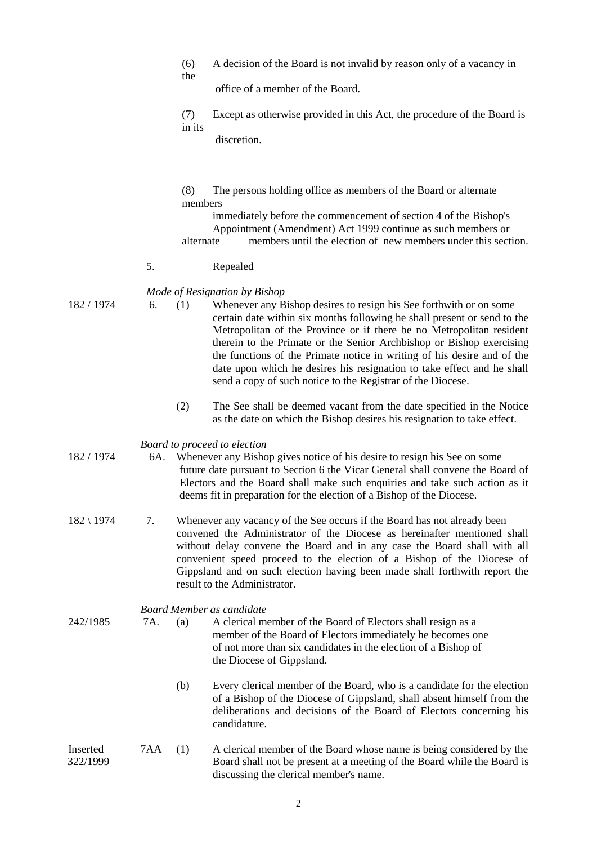|                      |     | (6)<br>the                                                                                                                                                                                                                                                                                                                                                                                                               | A decision of the Board is not invalid by reason only of a vacancy in                                                                                                                                                                                                                                                                                                                                                                                                                                                                               |  |  |
|----------------------|-----|--------------------------------------------------------------------------------------------------------------------------------------------------------------------------------------------------------------------------------------------------------------------------------------------------------------------------------------------------------------------------------------------------------------------------|-----------------------------------------------------------------------------------------------------------------------------------------------------------------------------------------------------------------------------------------------------------------------------------------------------------------------------------------------------------------------------------------------------------------------------------------------------------------------------------------------------------------------------------------------------|--|--|
|                      |     |                                                                                                                                                                                                                                                                                                                                                                                                                          | office of a member of the Board.                                                                                                                                                                                                                                                                                                                                                                                                                                                                                                                    |  |  |
|                      |     | (7)<br>in its                                                                                                                                                                                                                                                                                                                                                                                                            | Except as otherwise provided in this Act, the procedure of the Board is                                                                                                                                                                                                                                                                                                                                                                                                                                                                             |  |  |
|                      |     |                                                                                                                                                                                                                                                                                                                                                                                                                          | discretion.                                                                                                                                                                                                                                                                                                                                                                                                                                                                                                                                         |  |  |
|                      |     | (8)<br>members<br>alternate                                                                                                                                                                                                                                                                                                                                                                                              | The persons holding office as members of the Board or alternate<br>immediately before the commencement of section 4 of the Bishop's<br>Appointment (Amendment) Act 1999 continue as such members or<br>members until the election of new members under this section.                                                                                                                                                                                                                                                                                |  |  |
|                      | 5.  |                                                                                                                                                                                                                                                                                                                                                                                                                          | Repealed                                                                                                                                                                                                                                                                                                                                                                                                                                                                                                                                            |  |  |
| 182 / 1974           | 6.  | (1)                                                                                                                                                                                                                                                                                                                                                                                                                      | Mode of Resignation by Bishop<br>Whenever any Bishop desires to resign his See forthwith or on some<br>certain date within six months following he shall present or send to the<br>Metropolitan of the Province or if there be no Metropolitan resident<br>therein to the Primate or the Senior Archbishop or Bishop exercising<br>the functions of the Primate notice in writing of his desire and of the<br>date upon which he desires his resignation to take effect and he shall<br>send a copy of such notice to the Registrar of the Diocese. |  |  |
|                      |     | (2)                                                                                                                                                                                                                                                                                                                                                                                                                      | The See shall be deemed vacant from the date specified in the Notice<br>as the date on which the Bishop desires his resignation to take effect.                                                                                                                                                                                                                                                                                                                                                                                                     |  |  |
| 182 / 1974           | 6A. | Board to proceed to election<br>Whenever any Bishop gives notice of his desire to resign his See on some<br>future date pursuant to Section 6 the Vicar General shall convene the Board of<br>Electors and the Board shall make such enquiries and take such action as it<br>deems fit in preparation for the election of a Bishop of the Diocese.                                                                       |                                                                                                                                                                                                                                                                                                                                                                                                                                                                                                                                                     |  |  |
| $182 \setminus 1974$ | 7.  | Whenever any vacancy of the See occurs if the Board has not already been<br>convened the Administrator of the Diocese as hereinafter mentioned shall<br>without delay convene the Board and in any case the Board shall with all<br>convenient speed proceed to the election of a Bishop of the Diocese of<br>Gippsland and on such election having been made shall forthwith report the<br>result to the Administrator. |                                                                                                                                                                                                                                                                                                                                                                                                                                                                                                                                                     |  |  |
| 242/1985             | 7A. | (a)                                                                                                                                                                                                                                                                                                                                                                                                                      | <b>Board Member as candidate</b><br>A clerical member of the Board of Electors shall resign as a<br>member of the Board of Electors immediately he becomes one<br>of not more than six candidates in the election of a Bishop of<br>the Diocese of Gippsland.                                                                                                                                                                                                                                                                                       |  |  |
|                      |     | (b)                                                                                                                                                                                                                                                                                                                                                                                                                      | Every clerical member of the Board, who is a candidate for the election<br>of a Bishop of the Diocese of Gippsland, shall absent himself from the<br>deliberations and decisions of the Board of Electors concerning his<br>candidature.                                                                                                                                                                                                                                                                                                            |  |  |
| Inserted<br>322/1999 | 7AA | (1)                                                                                                                                                                                                                                                                                                                                                                                                                      | A clerical member of the Board whose name is being considered by the<br>Board shall not be present at a meeting of the Board while the Board is<br>discussing the clerical member's name.                                                                                                                                                                                                                                                                                                                                                           |  |  |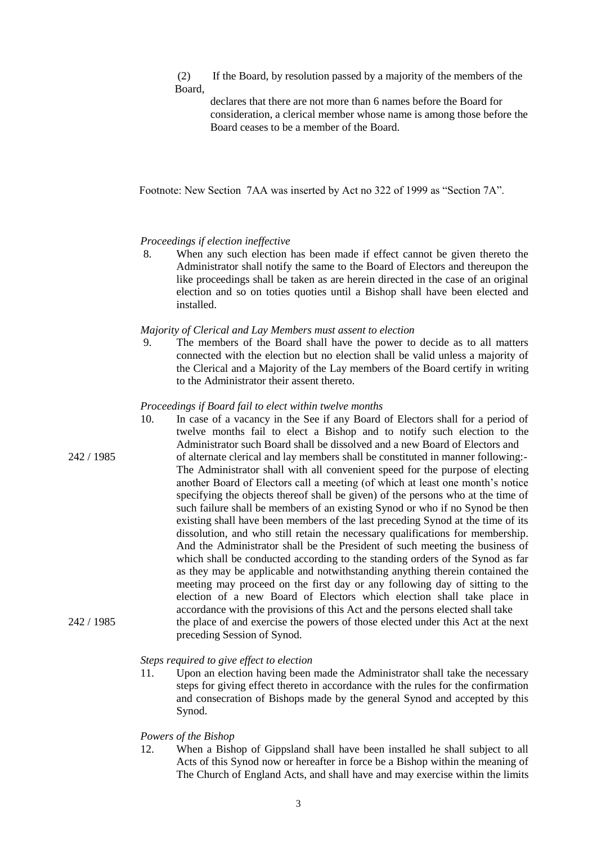(2) If the Board, by resolution passed by a majority of the members of the Board,

declares that there are not more than 6 names before the Board for consideration, a clerical member whose name is among those before the Board ceases to be a member of the Board.

Footnote: New Section 7AA was inserted by Act no 322 of 1999 as "Section 7A".

# *Proceedings if election ineffective*

8. When any such election has been made if effect cannot be given thereto the Administrator shall notify the same to the Board of Electors and thereupon the like proceedings shall be taken as are herein directed in the case of an original election and so on toties quoties until a Bishop shall have been elected and installed.

## *Majority of Clerical and Lay Members must assent to election*

9. The members of the Board shall have the power to decide as to all matters connected with the election but no election shall be valid unless a majority of the Clerical and a Majority of the Lay members of the Board certify in writing to the Administrator their assent thereto.

## *Proceedings if Board fail to elect within twelve months*

10. In case of a vacancy in the See if any Board of Electors shall for a period of twelve months fail to elect a Bishop and to notify such election to the Administrator such Board shall be dissolved and a new Board of Electors and 242 / 1985 of alternate clerical and lay members shall be constituted in manner following:- The Administrator shall with all convenient speed for the purpose of electing another Board of Electors call a meeting (of which at least one month's notice specifying the objects thereof shall be given) of the persons who at the time of such failure shall be members of an existing Synod or who if no Synod be then existing shall have been members of the last preceding Synod at the time of its dissolution, and who still retain the necessary qualifications for membership. And the Administrator shall be the President of such meeting the business of which shall be conducted according to the standing orders of the Synod as far as they may be applicable and notwithstanding anything therein contained the meeting may proceed on the first day or any following day of sitting to the election of a new Board of Electors which election shall take place in accordance with the provisions of this Act and the persons elected shall take 242 / 1985 the place of and exercise the powers of those elected under this Act at the next preceding Session of Synod.

# *Steps required to give effect to election*

11. Upon an election having been made the Administrator shall take the necessary steps for giving effect thereto in accordance with the rules for the confirmation and consecration of Bishops made by the general Synod and accepted by this Synod.

# *Powers of the Bishop*

12. When a Bishop of Gippsland shall have been installed he shall subject to all Acts of this Synod now or hereafter in force be a Bishop within the meaning of The Church of England Acts, and shall have and may exercise within the limits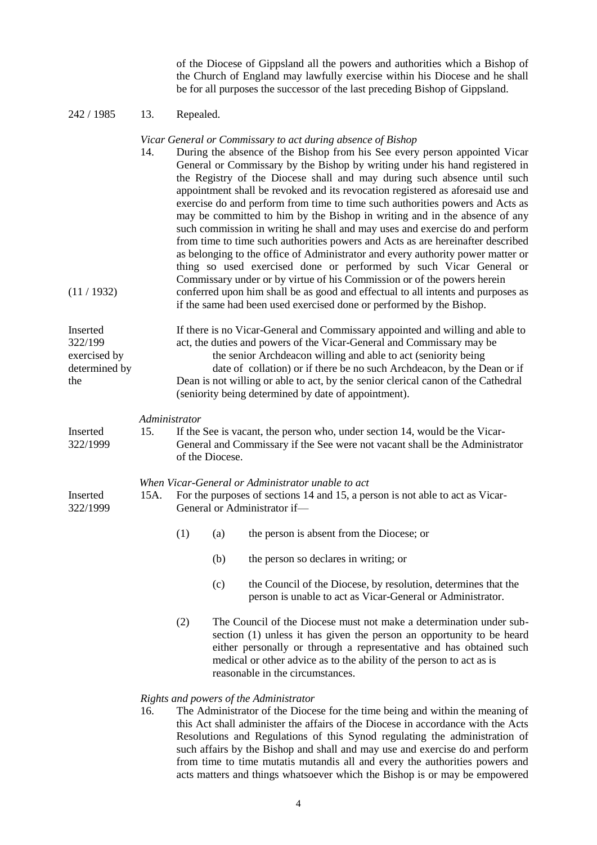of the Diocese of Gippsland all the powers and authorities which a Bishop of the Church of England may lawfully exercise within his Diocese and he shall be for all purposes the successor of the last preceding Bishop of Gippsland.

# 242 / 1985 13. Repealed.

## *Vicar General or Commissary to act during absence of Bishop*

| (11/1932)                                                   | 14.                                                                                                                                                                                                                | During the absence of the Bishop from his See every person appointed Vicar<br>General or Commissary by the Bishop by writing under his hand registered in<br>the Registry of the Diocese shall and may during such absence until such<br>appointment shall be revoked and its revocation registered as aforesaid use and<br>exercise do and perform from time to time such authorities powers and Acts as<br>may be committed to him by the Bishop in writing and in the absence of any<br>such commission in writing he shall and may uses and exercise do and perform<br>from time to time such authorities powers and Acts as are hereinafter described<br>as belonging to the office of Administrator and every authority power matter or<br>thing so used exercised done or performed by such Vicar General or<br>Commissary under or by virtue of his Commission or of the powers herein<br>conferred upon him shall be as good and effectual to all intents and purposes as<br>if the same had been used exercised done or performed by the Bishop. |     |                                                                                                                                                                                                                                                                                                                                 |  |  |  |
|-------------------------------------------------------------|--------------------------------------------------------------------------------------------------------------------------------------------------------------------------------------------------------------------|------------------------------------------------------------------------------------------------------------------------------------------------------------------------------------------------------------------------------------------------------------------------------------------------------------------------------------------------------------------------------------------------------------------------------------------------------------------------------------------------------------------------------------------------------------------------------------------------------------------------------------------------------------------------------------------------------------------------------------------------------------------------------------------------------------------------------------------------------------------------------------------------------------------------------------------------------------------------------------------------------------------------------------------------------------|-----|---------------------------------------------------------------------------------------------------------------------------------------------------------------------------------------------------------------------------------------------------------------------------------------------------------------------------------|--|--|--|
| Inserted<br>322/199<br>exercised by<br>determined by<br>the |                                                                                                                                                                                                                    | If there is no Vicar-General and Commissary appointed and willing and able to<br>act, the duties and powers of the Vicar-General and Commissary may be<br>the senior Archdeacon willing and able to act (seniority being<br>date of collation) or if there be no such Archdeacon, by the Dean or if<br>Dean is not willing or able to act, by the senior clerical canon of the Cathedral<br>(seniority being determined by date of appointment).                                                                                                                                                                                                                                                                                                                                                                                                                                                                                                                                                                                                           |     |                                                                                                                                                                                                                                                                                                                                 |  |  |  |
| Inserted<br>322/1999                                        | 15.                                                                                                                                                                                                                | Administrator<br>If the See is vacant, the person who, under section 14, would be the Vicar-<br>General and Commissary if the See were not vacant shall be the Administrator<br>of the Diocese.                                                                                                                                                                                                                                                                                                                                                                                                                                                                                                                                                                                                                                                                                                                                                                                                                                                            |     |                                                                                                                                                                                                                                                                                                                                 |  |  |  |
| Inserted<br>322/1999                                        | When Vicar-General or Administrator unable to act<br>For the purposes of sections 14 and 15, a person is not able to act as Vicar-<br>15A.<br>General or Administrator if-                                         |                                                                                                                                                                                                                                                                                                                                                                                                                                                                                                                                                                                                                                                                                                                                                                                                                                                                                                                                                                                                                                                            |     |                                                                                                                                                                                                                                                                                                                                 |  |  |  |
|                                                             |                                                                                                                                                                                                                    | (1)                                                                                                                                                                                                                                                                                                                                                                                                                                                                                                                                                                                                                                                                                                                                                                                                                                                                                                                                                                                                                                                        | (a) | the person is absent from the Diocese; or                                                                                                                                                                                                                                                                                       |  |  |  |
|                                                             |                                                                                                                                                                                                                    |                                                                                                                                                                                                                                                                                                                                                                                                                                                                                                                                                                                                                                                                                                                                                                                                                                                                                                                                                                                                                                                            | (b) | the person so declares in writing; or                                                                                                                                                                                                                                                                                           |  |  |  |
|                                                             |                                                                                                                                                                                                                    |                                                                                                                                                                                                                                                                                                                                                                                                                                                                                                                                                                                                                                                                                                                                                                                                                                                                                                                                                                                                                                                            | (c) | the Council of the Diocese, by resolution, determines that the<br>person is unable to act as Vicar-General or Administrator.                                                                                                                                                                                                    |  |  |  |
|                                                             |                                                                                                                                                                                                                    | (2)                                                                                                                                                                                                                                                                                                                                                                                                                                                                                                                                                                                                                                                                                                                                                                                                                                                                                                                                                                                                                                                        |     | The Council of the Diocese must not make a determination under sub-<br>section (1) unless it has given the person an opportunity to be heard<br>either personally or through a representative and has obtained such<br>medical or other advice as to the ability of the person to act as is<br>reasonable in the circumstances. |  |  |  |
|                                                             | Rights and powers of the Administrator<br>16.<br>The Administrator of the Diocese for the time being and within the meaning of<br>this Act shall administer the affairs of the Diocese in accordance with the Acts |                                                                                                                                                                                                                                                                                                                                                                                                                                                                                                                                                                                                                                                                                                                                                                                                                                                                                                                                                                                                                                                            |     |                                                                                                                                                                                                                                                                                                                                 |  |  |  |

this Act shall administer the affairs of the Diocese in accordance with the Acts Resolutions and Regulations of this Synod regulating the administration of such affairs by the Bishop and shall and may use and exercise do and perform from time to time mutatis mutandis all and every the authorities powers and acts matters and things whatsoever which the Bishop is or may be empowered